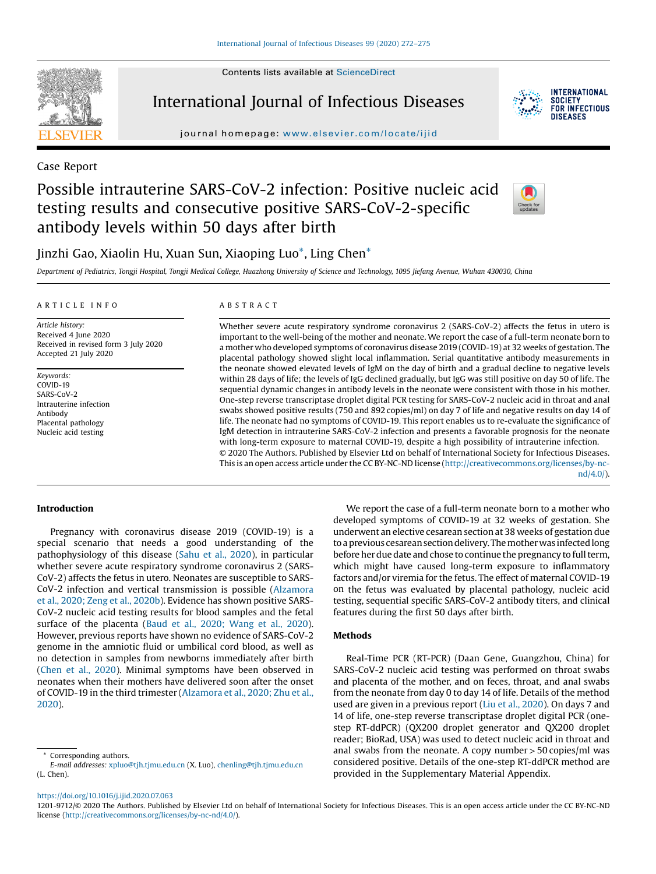Contents lists available at ScienceDirect



International Journal of Infectious Diseases



journal homepage: www.elsevier.com/locate/ijid

Case Report

# Possible intrauterine SARS-CoV-2 infection: Positive nucleic acid testing results and consecutive positive SARS-CoV-2-specific antibody levels within 50 days after birth



# Jinzhi Gao, Xiaolin Hu, Xuan Sun, Xiaoping Luo\*, Ling Chen\*

Department of Pediatrics, Tongji Hospital, Tongji Medical College, Huazhong University of Science and Technology, 1095 Jiefang Avenue, Wuhan 430030, China

#### A R T I C L E I N F O

Article history: Received 4 June 2020 Received in revised form 3 July 2020 Accepted 21 July 2020

Keywords: COVID-19 SARS-CoV-2 Intrauterine infection Antibody Placental pathology Nucleic acid testing

#### A B S T R A C T

Whether severe acute respiratory syndrome coronavirus 2 (SARS-CoV-2) affects the fetus in utero is important to the well-being of the mother and neonate. We report the case of a full-term neonate born to a mother who developed symptoms of coronavirus disease 2019 (COVID-19) at 32 weeks of gestation. The placental pathology showed slight local inflammation. Serial quantitative antibody measurements in the neonate showed elevated levels of IgM on the day of birth and a gradual decline to negative levels within 28 days of life; the levels of IgG declined gradually, but IgG was still positive on day 50 of life. The sequential dynamic changes in antibody levels in the neonate were consistent with those in his mother. One-step reverse transcriptase droplet digital PCR testing for SARS-CoV-2 nucleic acid in throat and anal swabs showed positive results (750 and 892 copies/ml) on day 7 of life and negative results on day 14 of life. The neonate had no symptoms of COVID-19. This report enables us to re-evaluate the significance of IgM detection in intrauterine SARS-CoV-2 infection and presents a favorable prognosis for the neonate with long-term exposure to maternal COVID-19, despite a high possibility of intrauterine infection. © 2020 The Authors. Published by Elsevier Ltd on behalf of International Society for Infectious Diseases. This is an open access article under the CC BY-NC-ND license (http://creativecommons.org/licenses/by-nc-

nd/4.0/).

# Introduction

Pregnancy with coronavirus disease 2019 (COVID-19) is a special scenario that needs a good understanding of the pathophysiology of this disease (Sahu et al., 2020), in particular whether severe acute respiratory syndrome coronavirus 2 (SARS-CoV-2) affects the fetus in utero. Neonates are susceptible to SARS-CoV-2 infection and vertical transmission is possible (Alzamora et al., 2020; Zeng et al., 2020b). Evidence has shown positive SARS-CoV-2 nucleic acid testing results for blood samples and the fetal surface of the placenta (Baud et al., 2020; Wang et al., 2020). However, previous reports have shown no evidence of SARS-CoV-2 genome in the amniotic fluid or umbilical cord blood, as well as no detection in samples from newborns immediately after birth (Chen et al., 2020). Minimal symptoms have been observed in neonates when their mothers have delivered soon after the onset of COVID-19 in the third trimester (Alzamora et al., 2020; Zhu et al., 2020).

We report the case of a full-term neonate born to a mother who developed symptoms of COVID-19 at 32 weeks of gestation. She underwent an elective cesarean section at 38 weeks of gestation due to a previous cesarean section delivery. The mother was infected long before her due date and chose to continue the pregnancy to full term, which might have caused long-term exposure to inflammatory factors and/or viremia for the fetus. The effect of maternal COVID-19 on the fetus was evaluated by placental pathology, nucleic acid testing, sequential specific SARS-CoV-2 antibody titers, and clinical features during the first 50 days after birth.

# Methods

Real-Time PCR (RT-PCR) (Daan Gene, Guangzhou, China) for SARS-CoV-2 nucleic acid testing was performed on throat swabs and placenta of the mother, and on feces, throat, and anal swabs from the neonate from day 0 to day 14 of life. Details of the method used are given in a previous report (Liu et al., 2020). On days 7 and 14 of life, one-step reverse transcriptase droplet digital PCR (onestep RT-ddPCR) (QX200 droplet generator and QX200 droplet reader; BioRad, USA) was used to detect nucleic acid in throat and anal swabs from the neonate. A copy number  $>$  50 copies/ml was considered positive. Details of the one-step RT-ddPCR method are provided in the Supplementary Material Appendix.

# Corresponding authors.

E-mail addresses: xpluo@tjh.tjmu.edu.cn (X. Luo), chenling@tjh.tjmu.edu.cn (L. Chen).

https://doi.org/10.1016/j.ijid.2020.07.063

1201-9712/© 2020 The Authors. Published by Elsevier Ltd on behalf of International Society for Infectious Diseases. This is an open access article under the CC BY-NC-ND license (http://creativecommons.org/licenses/by-nc-nd/4.0/).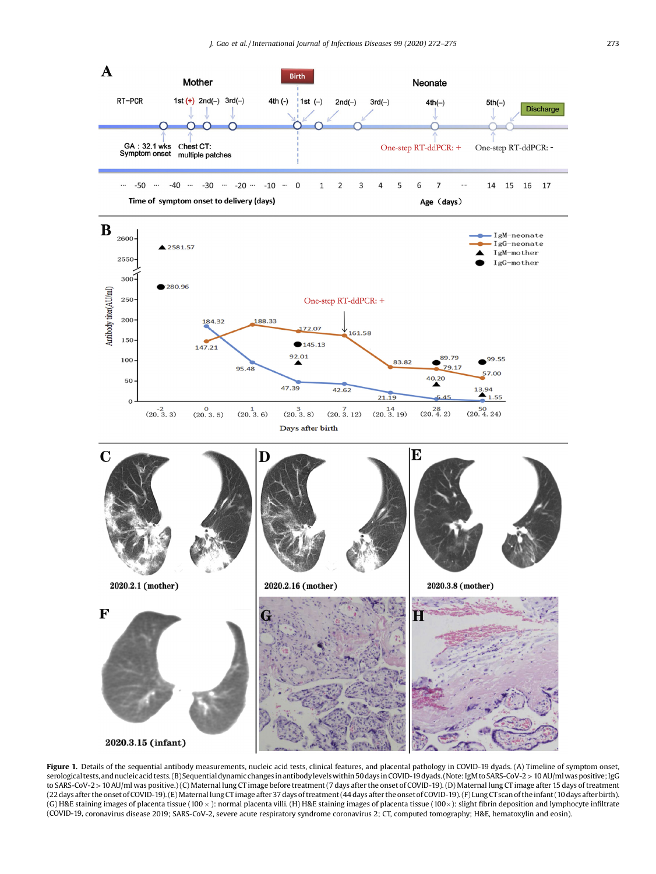

Figure 1. Details of the sequential antibody measurements, nucleic acid tests, clinical features, and placental pathology in COVID-19 dyads. (A) Timeline of symptom onset, serological tests,andnucleic acid tests. (B) Sequential dynamicchanges in antibodylevelswithin 50days inCOVID-19dyads. (Note:IgM toSARS-CoV-2>10AU/mlwas positive; IgG to SARS-CoV-2 > 10 AU/ml was positive.) (C) Maternal lung CT image before treatment (7 days after the onset of COVID-19). (D) Maternal lung CT image after 15 days of treatment (22days after the onsetofCOVID-19).(E)MaternallungCT image after37 days oftreatment(44 days after theonsetofCOVID-19).(F) Lung CTscanofthe infant(10 days afterbirth). (G) H&E staining images of placenta tissue (100 x): normal placenta villi. (H) H&E staining images of placenta tissue (100 x): slight fibrin deposition and lymphocyte infiltrate (COVID-19, coronavirus disease 2019; SARS-CoV-2, severe acute respiratory syndrome coronavirus 2; CT, computed tomography; H&E, hematoxylin and eosin).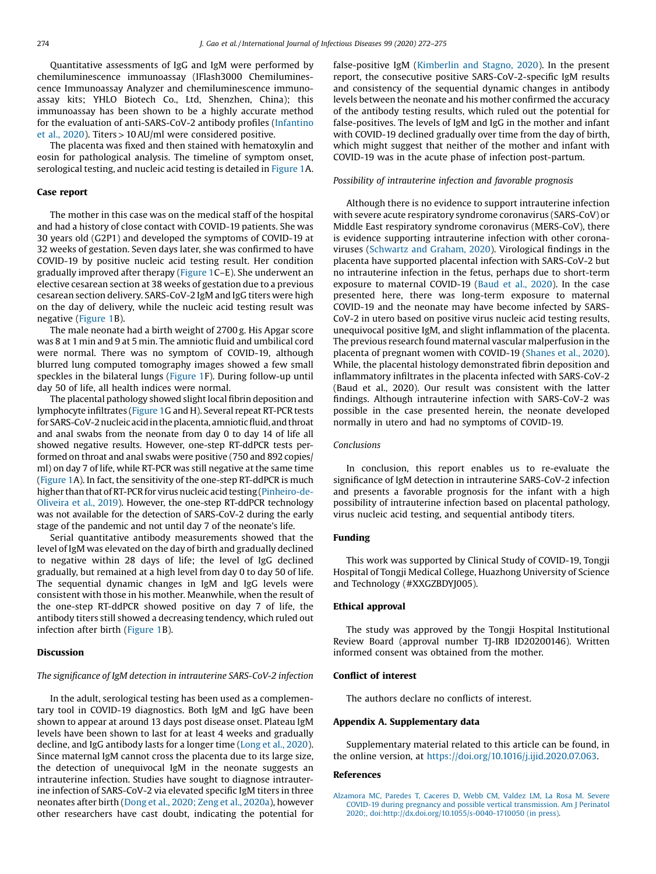Quantitative assessments of IgG and IgM were performed by chemiluminescence immunoassay (IFlash3000 Chemiluminescence Immunoassay Analyzer and chemiluminescence immunoassay kits; YHLO Biotech Co., Ltd, Shenzhen, China); this immunoassay has been shown to be a highly accurate method for the evaluation of anti-SARS-CoV-2 antibody profiles (Infantino et al., 2020). Titers>10 AU/ml were considered positive.

The placenta was fixed and then stained with hematoxylin and eosin for pathological analysis. The timeline of symptom onset, serological testing, and nucleic acid testing is detailed in Figure 1A.

#### Case report

The mother in this case was on the medical staff of the hospital and had a history of close contact with COVID-19 patients. She was 30 years old (G2P1) and developed the symptoms of COVID-19 at 32 weeks of gestation. Seven days later, she was confirmed to have COVID-19 by positive nucleic acid testing result. Her condition gradually improved after therapy (Figure 1C–E). She underwent an elective cesarean section at 38 weeks of gestation due to a previous cesarean section delivery. SARS-CoV-2 IgM and IgG titers were high on the day of delivery, while the nucleic acid testing result was negative (Figure 1B).

The male neonate had a birth weight of 2700 g. His Apgar score was 8 at 1 min and 9 at 5 min. The amniotic fluid and umbilical cord were normal. There was no symptom of COVID-19, although blurred lung computed tomography images showed a few small speckles in the bilateral lungs (Figure 1F). During follow-up until day 50 of life, all health indices were normal.

The placental pathology showed slight local fibrin deposition and lymphocyte infiltrates (Figure 1G and H). Several repeat RT-PCR tests for SARS-CoV-2 nucleic acid in the placenta, amniotic fluid, and throat and anal swabs from the neonate from day 0 to day 14 of life all showed negative results. However, one-step RT-ddPCR tests performed on throat and anal swabs were positive (750 and 892 copies/ ml) on day 7 of life, while RT-PCR was still negative at the same time (Figure 1A). In fact, the sensitivity of the one-step RT-ddPCR is much higher than that of RT-PCR for virus nucleic acid testing (Pinheiro-de-Oliveira et al., 2019). However, the one-step RT-ddPCR technology was not available for the detection of SARS-CoV-2 during the early stage of the pandemic and not until day 7 of the neonate's life.

Serial quantitative antibody measurements showed that the level of IgM was elevated on the day of birth and gradually declined to negative within 28 days of life; the level of IgG declined gradually, but remained at a high level from day 0 to day 50 of life. The sequential dynamic changes in IgM and IgG levels were consistent with those in his mother. Meanwhile, when the result of the one-step RT-ddPCR showed positive on day 7 of life, the antibody titers still showed a decreasing tendency, which ruled out infection after birth (Figure 1B).

#### Discussion

# The significance of IgM detection in intrauterine SARS-CoV-2 infection

In the adult, serological testing has been used as a complementary tool in COVID-19 diagnostics. Both IgM and IgG have been shown to appear at around 13 days post disease onset. Plateau IgM levels have been shown to last for at least 4 weeks and gradually decline, and IgG antibody lasts for a longer time (Long et al., 2020). Since maternal IgM cannot cross the placenta due to its large size, the detection of unequivocal IgM in the neonate suggests an intrauterine infection. Studies have sought to diagnose intrauterine infection of SARS-CoV-2 via elevated specific IgM titers in three neonates after birth (Dong et al., 2020; Zeng et al., 2020a), however other researchers have cast doubt, indicating the potential for false-positive IgM (Kimberlin and Stagno, 2020). In the present report, the consecutive positive SARS-CoV-2-specific IgM results and consistency of the sequential dynamic changes in antibody levels between the neonate and his mother confirmed the accuracy of the antibody testing results, which ruled out the potential for false-positives. The levels of IgM and IgG in the mother and infant with COVID-19 declined gradually over time from the day of birth, which might suggest that neither of the mother and infant with COVID-19 was in the acute phase of infection post-partum.

#### Possibility of intrauterine infection and favorable prognosis

Although there is no evidence to support intrauterine infection with severe acute respiratory syndrome coronavirus (SARS-CoV) or Middle East respiratory syndrome coronavirus (MERS-CoV), there is evidence supporting intrauterine infection with other coronaviruses (Schwartz and Graham, 2020). Virological findings in the placenta have supported placental infection with SARS-CoV-2 but no intrauterine infection in the fetus, perhaps due to short-term exposure to maternal COVID-19 (Baud et al., 2020). In the case presented here, there was long-term exposure to maternal COVID-19 and the neonate may have become infected by SARS-CoV-2 in utero based on positive virus nucleic acid testing results, unequivocal positive IgM, and slight inflammation of the placenta. The previous research found maternal vascular malperfusion in the placenta of pregnant women with COVID-19 (Shanes et al., 2020). While, the placental histology demonstrated fibrin deposition and inflammatory infiltrates in the placenta infected with SARS-CoV-2 (Baud et al., 2020). Our result was consistent with the latter findings. Although intrauterine infection with SARS-CoV-2 was possible in the case presented herein, the neonate developed normally in utero and had no symptoms of COVID-19.

### Conclusions

In conclusion, this report enables us to re-evaluate the significance of IgM detection in intrauterine SARS-CoV-2 infection and presents a favorable prognosis for the infant with a high possibility of intrauterine infection based on placental pathology, virus nucleic acid testing, and sequential antibody titers.

#### Funding

This work was supported by Clinical Study of COVID-19, Tongji Hospital of Tongji Medical College, Huazhong University of Science and Technology (#XXGZBDYJ005).

#### Ethical approval

The study was approved by the Tongji Hospital Institutional Review Board (approval number TJ-IRB ID20200146). Written informed consent was obtained from the mother.

# Conflict of interest

The authors declare no conflicts of interest.

#### Appendix A. Supplementary data

Supplementary material related to this article can be found, in the online version, at https://doi.org/10.1016/j.ijid.2020.07.063.

# References

Alzamora MC, Paredes T, Caceres D, Webb CM, Valdez LM, La Rosa M. Severe COVID-19 during pregnancy and possible vertical transmission. Am J Perinatol 2020;, doi:http://dx.doi.org/10.1055/s-0040-1710050 (in press).